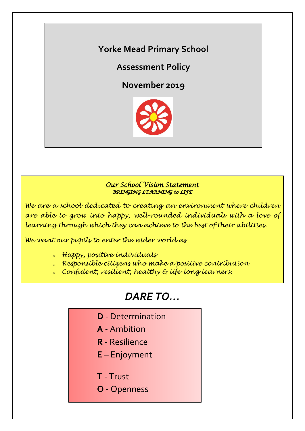# **Yorke Mead Primary School**

# **Assessment Policy**

**November 2019**



## *Our School Vision Statement BRINGING LEARNING to LIFE*

*We are a school dedicated to creating an environment where children are able to grow into happy, well-rounded individuals with a love of learning through which they can achieve to the best of their abilities.*

*We want our pupils to enter the wider world as*

- *<sup>o</sup> Happy, positive individuals*
- *<sup>o</sup> Responsible citizens who make a positive contribution*
- *<sup>o</sup> Confident, resilient, healthy & life-long learners.*

# *DARE TO…*

- **D** Determination
- **A** Ambition
- **R** Resilience
- **E** Enjoyment
- **T** Trust
- **O** Openness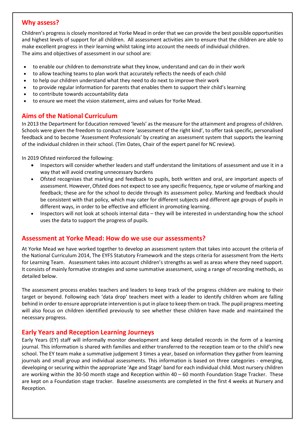### **Why assess?**

Children's progress is closely monitored at Yorke Mead in order that we can provide the best possible opportunities and highest levels of support for all children. All assessment activities aim to ensure that the children are able to make excellent progress in their learning whilst taking into account the needs of individual children. The aims and objectives of assessment in our school are:

- to enable our children to demonstrate what they know, understand and can do in their work
- to allow teaching teams to plan work that accurately reflects the needs of each child
- to help our children understand what they need to do next to improve their work
- to provide regular information for parents that enables them to support their child's learning
- to contribute towards accountability data
- to ensure we meet the vision statement, aims and values for Yorke Mead.

# **Aims of the National Curriculum**

In 2013 the Department for Education removed 'levels' as the measure for the attainment and progress of children. Schools were given the freedom to conduct more 'assessment of the right kind', to offer task specific, personalised feedback and to become 'Assessment Professionals' by creating an assessment system that supports the learning of the individual children in their school. (Tim Oates, Chair of the expert panel for NC review).

In 2019 Ofsted reinforced the following:

- Inspectors will consider whether leaders and staff understand the limitations of assessment and use it in a way that will avoid creating unnecessary burdens
- Ofsted recognises that marking and feedback to pupils, both written and oral, are important aspects of assessment. However, Ofsted does not expect to see any specific frequency, type or volume of marking and feedback; these are for the school to decide through its assessment policy. Marking and feedback should be consistent with that policy, which may cater for different subjects and different age groups of pupils in different ways, in order to be effective and efficient in promoting learning.
- Inspectors will not look at schools internal data they will be interested in understanding how the school uses the data to support the progress of pupils.

#### **Assessment at Yorke Mead: How do we use our assessments?**

At Yorke Mead we have worked together to develop an assessment system that takes into account the criteria of the National Curriculum 2014, The EYFS Statutory Framework and the steps criteria for assessment from the Herts for Learning Team. Assessment takes into account children's strengths as well as areas where they need support. It consists of mainly formative strategies and some summative assessment, using a range of recording methods, as detailed below.

The assessment process enables teachers and leaders to keep track of the progress children are making to their target or beyond. Following each 'data drop' teachers meet with a leader to identify children whom are falling behind in order to ensure appropriate intervention is put in place to keep them on track. The pupil progress meeting will also focus on children identified previously to see whether these children have made and maintained the necessary progress.

#### **Early Years and Reception Learning Journeys**

Early Years (EY) staff will informally monitor development and keep detailed records in the form of a learning journal. This information is shared with families and either transferred to the reception team or to the child's new school. The EY team make a summative judgement 3 times a year, based on information they gather from learning journals and small group and individual assessments. This information is based on three categories - emerging, developing or securing within the appropriate 'Age and Stage' band for each individual child. Most nursery children are working within the 30-50 month stage and Reception within 40 – 60 month Foundation Stage Tracker. These are kept on a Foundation stage tracker. Baseline assessments are completed in the first 4 weeks at Nursery and Reception.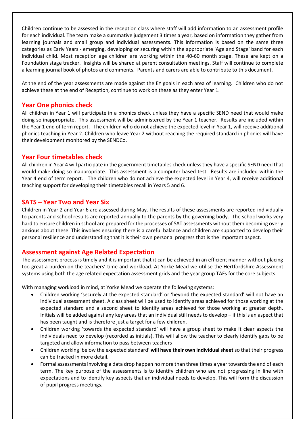Children continue to be assessed in the reception class where staff will add information to an assessment profile for each individual. The team make a summative judgement 3 times a year, based on information they gather from learning journals and small group and individual assessments. This information is based on the same three categories as Early Years - emerging, developing or securing within the appropriate 'Age and Stage' band for each individual child. Most reception age children are working within the 40-60 month stage. These are kept on a Foundation stage tracker. Insights will be shared at parent consultation meetings. Staff will continue to complete a learning journal book of photos and comments. Parents and carers are able to contribute to this document.

At the end of the year assessments are made against the EY goals in each area of learning. Children who do not achieve these at the end of Reception, continue to work on these as they enter Year 1.

#### **Year One phonics check**

All children in Year 1 will participate in a phonics check unless they have a specific SEND need that would make doing so inappropriate. This assessment will be administered by the Year 1 teacher. Results are included within the Year 1 end of term report. The children who do not achieve the expected level in Year 1, will receive additional phonics teaching in Year 2. Children who leave Year 2 without reaching the required standard in phonics will have their development monitored by the SENDCo.

#### **Year Four timetables check**

All children in Year 4 will participate in the government timetables check unless they have a specific SEND need that would make doing so inappropriate. This assessment is a computer based test. Results are included within the Year 4 end of term report. The children who do not achieve the expected level in Year 4, will receive additional teaching support for developing their timetables recall in Years 5 and 6.

#### **SATS – Year Two and Year Six**

Children in Year 2 and Year 6 are assessed during May. The results of these assessments are reported individually to parents and school results are reported annually to the parents by the governing body. The school works very hard to ensure children in school are prepared for the processes of SAT assessments without them becoming overly anxious about these. This involves ensuring there is a careful balance and children are supported to develop their personal resilience and understanding that it is their own personal progress that is the important aspect.

#### **Assessment against Age Related Expectation**

The assessment process is timely and it is important that it can be achieved in an efficient manner without placing too great a burden on the teachers' time and workload. At Yorke Mead we utilise the Hertfordshire Assessment systems using both the age related expectation assessment grids and the year group TAFs for the core subjects.

With managing workload in mind, at Yorke Mead we operate the following systems:

- Children working 'securely at the expected standard' or 'beyond the expected standard' will not have an individual assessment sheet. A class sheet will be used to identify areas achieved for those working at the expected standard and a second sheet to identify areas achieved for those working at greater depth. Initials will be added against any key areas that an individual still needs to develop – if this is an aspect that has been taught and is therefore just a target for a few children.
- Children working 'towards the expected standard' will have a group sheet to make it clear aspects the individuals need to develop (recorded as initials). This will allow the teacher to clearly identify gaps to be targeted and allow information to pass between teachers
- Children working 'below the expected standard' **will have their own individual sheet** so that their progress can be tracked in more detail.
- Formal assessments involving a data drop happen no more than three times a year towards the end of each term. The key purpose of the assessments is to identify children who are not progressing in line with expectations and to identify key aspects that an individual needs to develop. This will form the discussion of pupil progress meetings.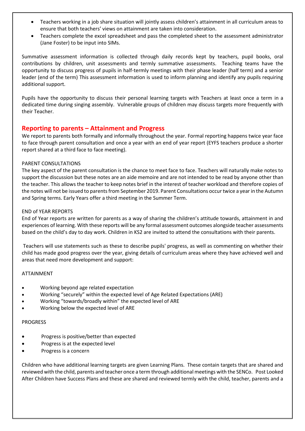- Teachers working in a job share situation will jointly assess children's attainment in all curriculum areas to ensure that both teachers' views on attainment are taken into consideration.
- Teachers complete the excel spreadsheet and pass the completed sheet to the assessment administrator (Jane Foster) to be input into SIMs.

Summative assessment information is collected through daily records kept by teachers, pupil books, oral contributions by children, unit assessments and termly summative assessments. Teaching teams have the opportunity to discuss progress of pupils in half-termly meetings with their phase leader (half term) and a senior leader (end of the term) This assessment information is used to inform planning and identify any pupils requiring additional support.

Pupils have the opportunity to discuss their personal learning targets with Teachers at least once a term in a dedicated time during singing assembly. Vulnerable groups of children may discuss targets more frequently with their Teacher.

#### **Reporting to parents – Attainment and Progress**

We report to parents both formally and informally throughout the year. Formal reporting happens twice year face to face through parent consultation and once a year with an end of year report (EYFS teachers produce a shorter report shared at a third face to face meeting).

#### PARENT CONSULTATIONS

The key aspect of the parent consultation is the chance to meet face to face. Teachers will naturally make notes to support the discussion but these notes are an aide memoire and are not intended to be read by anyone other than the teacher. This allows the teacher to keep notes brief in the interest of teacher workload and therefore copies of the notes will not be issued to parents from September 2019. Parent Consultations occur twice a year in the Autumn and Spring terms. Early Years offer a third meeting in the Summer Term.

#### END of YEAR REPORTS

End of Year reports are written for parents as a way of sharing the children's attitude towards, attainment in and experiences of learning. With these reports will be any formal assessment outcomes alongside teacher assessments based on the child's day to day work. Children in KS2 are invited to attend the consultations with their parents.

Teachers will use statements such as these to describe pupils' progress, as well as commenting on whether their child has made good progress over the year, giving details of curriculum areas where they have achieved well and areas that need more development and support:

#### ATTAINMENT

- Working beyond age related expectation
- Working "securely" within the expected level of Age Related Expectations (ARE)
- Working "towards/broadly within" the expected level of ARE
- Working below the expected level of ARE

#### PROGRESS

- Progress is positive/better than expected
- Progress is at the expected level
- Progress is a concern

Children who have additional learning targets are given Learning Plans. These contain targets that are shared and reviewed with the child, parents and teacher once a term through additional meetings with the SENCo. Post Looked After Children have Success Plans and these are shared and reviewed termly with the child, teacher, parents and a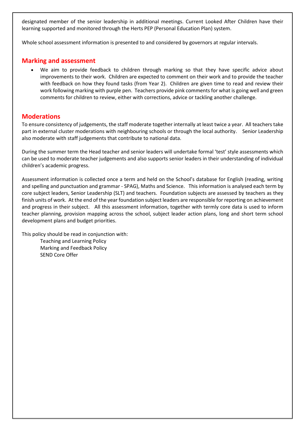designated member of the senior leadership in additional meetings. Current Looked After Children have their learning supported and monitored through the Herts PEP (Personal Education Plan) system.

Whole school assessment information is presented to and considered by governors at regular intervals.

#### **Marking and assessment**

 We aim to provide feedback to children through marking so that they have specific advice about improvements to their work. Children are expected to comment on their work and to provide the teacher with feedback on how they found tasks (from Year 2). Children are given time to read and review their work following marking with purple pen. Teachers provide pink comments for what is going well and green comments for children to review, either with corrections, advice or tackling another challenge.

### **Moderations**

To ensure consistency of judgements, the staff moderate together internally at least twice a year. All teachers take part in external cluster moderations with neighbouring schools or through the local authority. Senior Leadership also moderate with staff judgements that contribute to national data.

During the summer term the Head teacher and senior leaders will undertake formal 'test' style assessments which can be used to moderate teacher judgements and also supports senior leaders in their understanding of individual children's academic progress.

Assessment information is collected once a term and held on the School's database for English (reading, writing and spelling and punctuation and grammar - SPAG), Maths and Science. This information is analysed each term by core subject leaders, Senior Leadership (SLT) and teachers. Foundation subjects are assessed by teachers as they finish units of work. At the end of the year foundation subject leaders are responsible for reporting on achievement and progress in their subject. All this assessment information, together with termly core data is used to inform teacher planning, provision mapping across the school, subject leader action plans, long and short term school development plans and budget priorities.

This policy should be read in conjunction with: Teaching and Learning Policy Marking and Feedback Policy SEND Core Offer